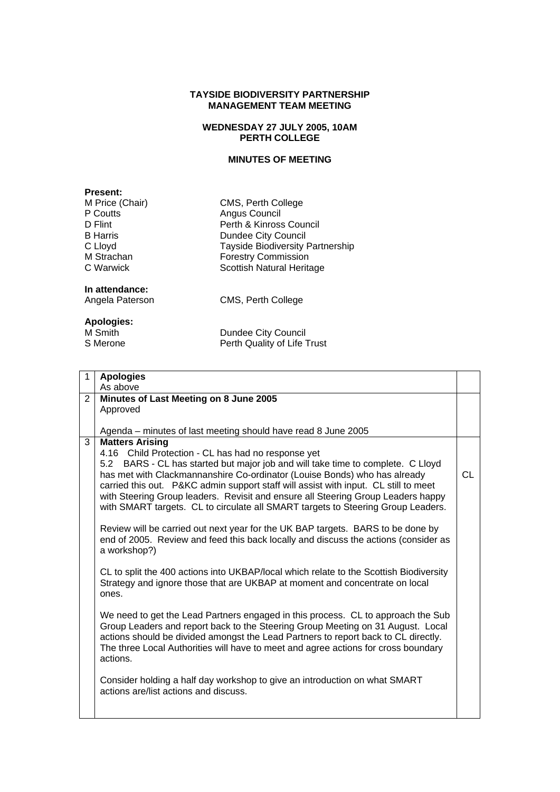#### **TAYSIDE BIODIVERSITY PARTNERSHIP MANAGEMENT TEAM MEETING**

### **WEDNESDAY 27 JULY 2005, 10AM PERTH COLLEGE**

## **MINUTES OF MEETING**

**Present:**<br>**M Price (Chair)** P Coutts Angus Council<br>
D Flint Perth & Kinross

CMS, Perth College D Flint Perth & Kinross Council<br>B Harris Dundee City Council **Bundee City Council** C Lloyd<br>
M Strachan 
Tayside Biodiversity Partnership<br>
Forestry Commission M Strachan Forestry Commission<br>C Warwick **Forestry Commission** Scottish Natural Heritage

# **In attendance:**

CMS, Perth College

## **Apologies:**

Dundee City Council S Merone **Perth Quality of Life Trust** 

| 1              | <b>Apologies</b>                                                                                                                                                      |    |
|----------------|-----------------------------------------------------------------------------------------------------------------------------------------------------------------------|----|
|                | As above                                                                                                                                                              |    |
| $\overline{2}$ | Minutes of Last Meeting on 8 June 2005                                                                                                                                |    |
|                | Approved                                                                                                                                                              |    |
|                |                                                                                                                                                                       |    |
|                | Agenda – minutes of last meeting should have read 8 June 2005                                                                                                         |    |
| 3              | <b>Matters Arising</b>                                                                                                                                                |    |
|                | 4.16 Child Protection - CL has had no response yet                                                                                                                    |    |
|                | 5.2 BARS - CL has started but major job and will take time to complete. C Lloyd                                                                                       |    |
|                | has met with Clackmannanshire Co-ordinator (Louise Bonds) who has already                                                                                             | СL |
|                | carried this out. P&KC admin support staff will assist with input. CL still to meet                                                                                   |    |
|                | with Steering Group leaders. Revisit and ensure all Steering Group Leaders happy                                                                                      |    |
|                | with SMART targets. CL to circulate all SMART targets to Steering Group Leaders.                                                                                      |    |
|                |                                                                                                                                                                       |    |
|                | Review will be carried out next year for the UK BAP targets. BARS to be done by                                                                                       |    |
|                | end of 2005. Review and feed this back locally and discuss the actions (consider as                                                                                   |    |
|                | a workshop?)                                                                                                                                                          |    |
|                |                                                                                                                                                                       |    |
|                | CL to split the 400 actions into UKBAP/local which relate to the Scottish Biodiversity<br>Strategy and ignore those that are UKBAP at moment and concentrate on local |    |
|                | ones.                                                                                                                                                                 |    |
|                |                                                                                                                                                                       |    |
|                | We need to get the Lead Partners engaged in this process. CL to approach the Sub                                                                                      |    |
|                | Group Leaders and report back to the Steering Group Meeting on 31 August. Local                                                                                       |    |
|                | actions should be divided amongst the Lead Partners to report back to CL directly.                                                                                    |    |
|                | The three Local Authorities will have to meet and agree actions for cross boundary                                                                                    |    |
|                | actions.                                                                                                                                                              |    |
|                |                                                                                                                                                                       |    |
|                | Consider holding a half day workshop to give an introduction on what SMART                                                                                            |    |
|                | actions are/list actions and discuss.                                                                                                                                 |    |
|                |                                                                                                                                                                       |    |
|                |                                                                                                                                                                       |    |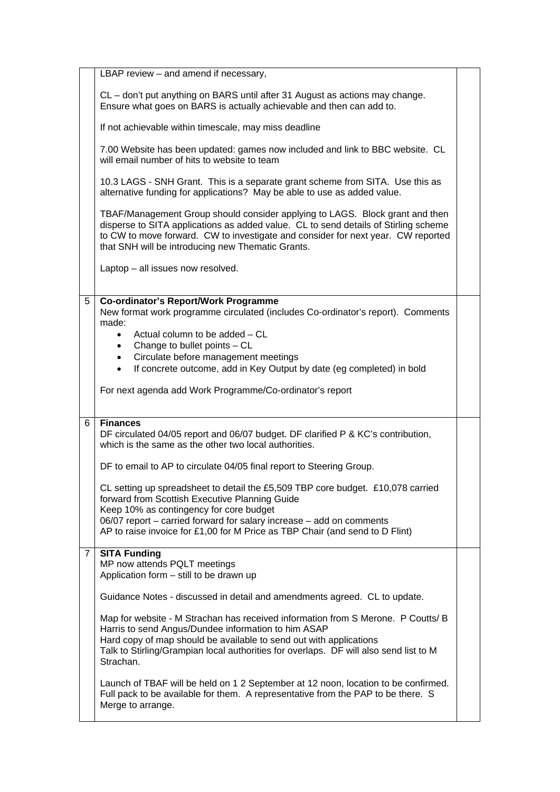|                | LBAP review - and amend if necessary,                                                                                                                                                                                                                                                                               |  |
|----------------|---------------------------------------------------------------------------------------------------------------------------------------------------------------------------------------------------------------------------------------------------------------------------------------------------------------------|--|
|                | CL – don't put anything on BARS until after 31 August as actions may change.<br>Ensure what goes on BARS is actually achievable and then can add to.                                                                                                                                                                |  |
|                | If not achievable within timescale, may miss deadline                                                                                                                                                                                                                                                               |  |
|                | 7.00 Website has been updated: games now included and link to BBC website. CL<br>will email number of hits to website to team                                                                                                                                                                                       |  |
|                | 10.3 LAGS - SNH Grant. This is a separate grant scheme from SITA. Use this as<br>alternative funding for applications? May be able to use as added value.                                                                                                                                                           |  |
|                | TBAF/Management Group should consider applying to LAGS. Block grant and then<br>disperse to SITA applications as added value. CL to send details of Stirling scheme<br>to CW to move forward. CW to investigate and consider for next year. CW reported<br>that SNH will be introducing new Thematic Grants.        |  |
|                | Laptop - all issues now resolved.                                                                                                                                                                                                                                                                                   |  |
| 5              | <b>Co-ordinator's Report/Work Programme</b><br>New format work programme circulated (includes Co-ordinator's report). Comments<br>made:                                                                                                                                                                             |  |
|                | Actual column to be added – CL<br>$\bullet$<br>Change to bullet points - CL<br>$\bullet$                                                                                                                                                                                                                            |  |
|                | Circulate before management meetings<br>$\bullet$                                                                                                                                                                                                                                                                   |  |
|                | If concrete outcome, add in Key Output by date (eg completed) in bold<br>$\bullet$                                                                                                                                                                                                                                  |  |
|                | For next agenda add Work Programme/Co-ordinator's report                                                                                                                                                                                                                                                            |  |
| 6              | <b>Finances</b><br>DF circulated 04/05 report and 06/07 budget. DF clarified P & KC's contribution,<br>which is the same as the other two local authorities.                                                                                                                                                        |  |
|                | DF to email to AP to circulate 04/05 final report to Steering Group.                                                                                                                                                                                                                                                |  |
|                | CL setting up spreadsheet to detail the £5,509 TBP core budget. £10,078 carried<br>forward from Scottish Executive Planning Guide<br>Keep 10% as contingency for core budget                                                                                                                                        |  |
|                | 06/07 report - carried forward for salary increase - add on comments<br>AP to raise invoice for £1,00 for M Price as TBP Chair (and send to D Flint)                                                                                                                                                                |  |
| $\overline{7}$ | <b>SITA Funding</b><br>MP now attends PQLT meetings<br>Application form - still to be drawn up                                                                                                                                                                                                                      |  |
|                | Guidance Notes - discussed in detail and amendments agreed. CL to update.                                                                                                                                                                                                                                           |  |
|                | Map for website - M Strachan has received information from S Merone. P Coutts/ B<br>Harris to send Angus/Dundee information to him ASAP<br>Hard copy of map should be available to send out with applications<br>Talk to Stirling/Grampian local authorities for overlaps. DF will also send list to M<br>Strachan. |  |
|                | Launch of TBAF will be held on 1 2 September at 12 noon, location to be confirmed.<br>Full pack to be available for them. A representative from the PAP to be there. S<br>Merge to arrange.                                                                                                                         |  |